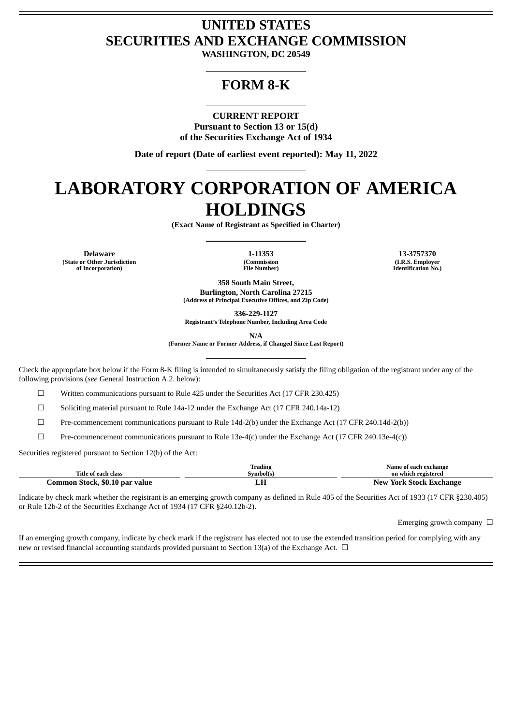# **UNITED STATES SECURITIES AND EXCHANGE COMMISSION**

**WASHINGTON, DC 20549**

# **FORM 8-K**

**CURRENT REPORT Pursuant to Section 13 or 15(d) of the Securities Exchange Act of 1934**

**Date of report (Date of earliest event reported): May 11, 2022**

# **LABORATORY CORPORATION OF AMERICA HOLDINGS**

**(Exact Name of Registrant as Specified in Charter)**

**Delaware 1-11353 13-3757370 (State or Other Jurisdiction of Incorporation)**

**(Commission File Number)**

**(I.R.S. Employer Identification No.)**

**358 South Main Street, Burlington, North Carolina 27215 (Address of Principal Executive Offices, and Zip Code)**

**336-229-1127**

**Registrant's Telephone Number, Including Area Code**

**N/A**

**(Former Name or Former Address, if Changed Since Last Report)**

Check the appropriate box below if the Form 8-K filing is intended to simultaneously satisfy the filing obligation of the registrant under any of the following provisions (*see* General Instruction A.2. below):

☐ Written communications pursuant to Rule 425 under the Securities Act (17 CFR 230.425)

☐ Soliciting material pursuant to Rule 14a-12 under the Exchange Act (17 CFR 240.14a-12)

 $\Box$  Pre-commencement communications pursuant to Rule 14d-2(b) under the Exchange Act (17 CFR 240.14d-2(b))

 $\Box$  Pre-commencement communications pursuant to Rule 13e-4(c) under the Exchange Act (17 CFR 240.13e-4(c))

Securities registered pursuant to Section 12(b) of the Act:

|                                | m.<br>Trading | Name of each exchange   |
|--------------------------------|---------------|-------------------------|
| Title of each class            | Svmbol(s)     | on which registered     |
| Common Stock, \$0.10 par value |               | New York Stock Exchange |

Indicate by check mark whether the registrant is an emerging growth company as defined in Rule 405 of the Securities Act of 1933 (17 CFR §230.405) or Rule 12b-2 of the Securities Exchange Act of 1934 (17 CFR §240.12b-2).

Emerging growth company  $\Box$ 

If an emerging growth company, indicate by check mark if the registrant has elected not to use the extended transition period for complying with any new or revised financial accounting standards provided pursuant to Section 13(a) of the Exchange Act.  $\Box$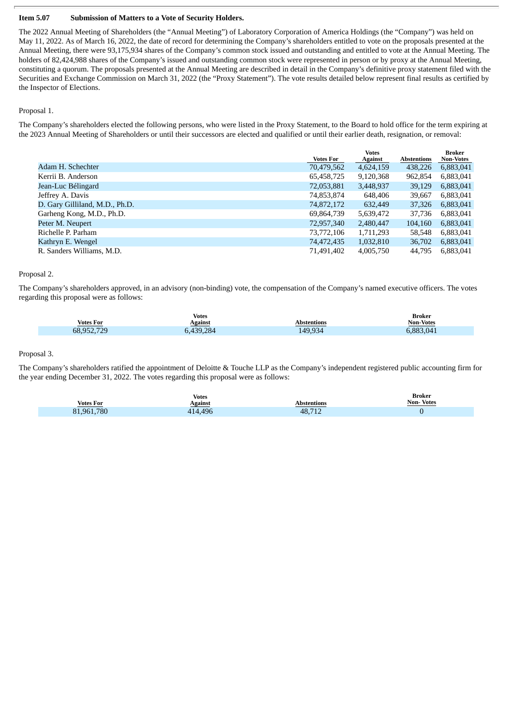#### **Item 5.07 Submission of Matters to a Vote of Security Holders.**

The 2022 Annual Meeting of Shareholders (the "Annual Meeting") of Laboratory Corporation of America Holdings (the "Company") was held on May 11, 2022. As of March 16, 2022, the date of record for determining the Company's shareholders entitled to vote on the proposals presented at the Annual Meeting, there were 93,175,934 shares of the Company's common stock issued and outstanding and entitled to vote at the Annual Meeting. The holders of 82,424,988 shares of the Company's issued and outstanding common stock were represented in person or by proxy at the Annual Meeting, constituting a quorum. The proposals presented at the Annual Meeting are described in detail in the Company's definitive proxy statement filed with the Securities and Exchange Commission on March 31, 2022 (the "Proxy Statement"). The vote results detailed below represent final results as certified by the Inspector of Elections.

#### Proposal 1.

The Company's shareholders elected the following persons, who were listed in the Proxy Statement, to the Board to hold office for the term expiring at the 2023 Annual Meeting of Shareholders or until their successors are elected and qualified or until their earlier death, resignation, or removal:

|                                | <b>Votes For</b> | <b>Votes</b><br><b>Against</b> | <b>Abstentions</b> | <b>Broker</b><br><b>Non-Votes</b> |
|--------------------------------|------------------|--------------------------------|--------------------|-----------------------------------|
| Adam H. Schechter              | 70,479,562       | 4,624,159                      | 438,226            | 6,883,041                         |
| Kerrii B. Anderson             | 65,458,725       | 9,120,368                      | 962,854            | 6,883,041                         |
| Jean-Luc Bélingard             | 72,053,881       | 3,448,937                      | 39,129             | 6,883,041                         |
| Jeffrey A. Davis               | 74,853,874       | 648,406                        | 39,667             | 6,883,041                         |
| D. Gary Gilliland, M.D., Ph.D. | 74,872,172       | 632,449                        | 37,326             | 6,883,041                         |
| Garheng Kong, M.D., Ph.D.      | 69,864,739       | 5,639,472                      | 37.736             | 6,883,041                         |
| Peter M. Neupert               | 72,957,340       | 2,480,447                      | 104,160            | 6,883,041                         |
| Richelle P. Parham             | 73,772,106       | 1,711,293                      | 58,548             | 6,883,041                         |
| Kathryn E. Wengel              | 74,472,435       | 1,032,810                      | 36,702             | 6,883,041                         |
| R. Sanders Williams, M.D.      | 71.491.402       | 4.005.750                      | 44.795             | 6,883,041                         |

#### Proposal 2.

The Company's shareholders approved, in an advisory (non-binding) vote, the compensation of the Company's named executive officers. The votes regarding this proposal were as follows:

| <b>Votes</b>     |                       |             | Broker           |
|------------------|-----------------------|-------------|------------------|
| <b>Votes For</b> | Against               | Abstentions | <b>Non-Votes</b> |
| 68,952,729       | <sub>0</sub> ,439,284 | 149,934     | 6,883,041        |

# Proposal 3.

The Company's shareholders ratified the appointment of Deloitte & Touche LLP as the Company's independent registered public accounting firm for the year ending December 31, 2022. The votes regarding this proposal were as follows:

| <b>Votes</b>     |         |                     | Broker           |
|------------------|---------|---------------------|------------------|
| <b>Votes For</b> | Against | <b>Abstentions</b>  | <b>Non-Votes</b> |
| ,780<br>81.961.  | 4.496   | 48,712<br>$\sim$ 12 |                  |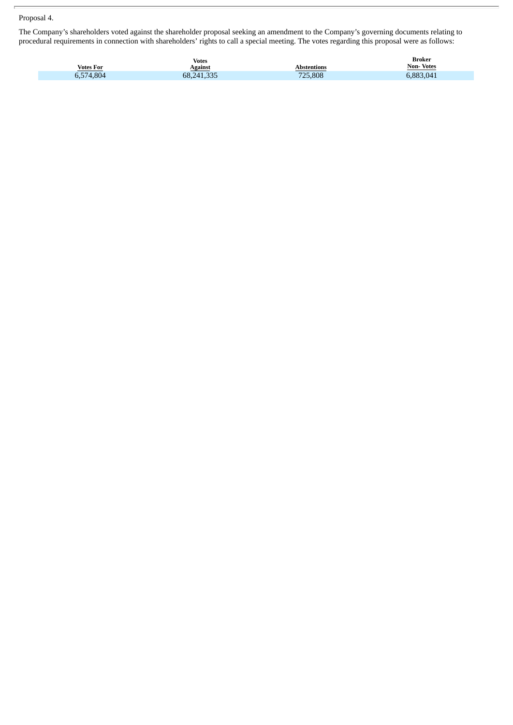## Proposal 4.

The Company's shareholders voted against the shareholder proposal seeking an amendment to the Company's governing documents relating to procedural requirements in connection with shareholders' rights to call a special meeting. The votes regarding this proposal were as follows:

| <b>Votes For</b> | <b>Votes</b><br>Against | Abstentions | Broker<br><b>Non-Votes</b> |
|------------------|-------------------------|-------------|----------------------------|
| 5.574.804<br>ບ,ບ | 68,241,335              | 725,808     | 6,883,041                  |